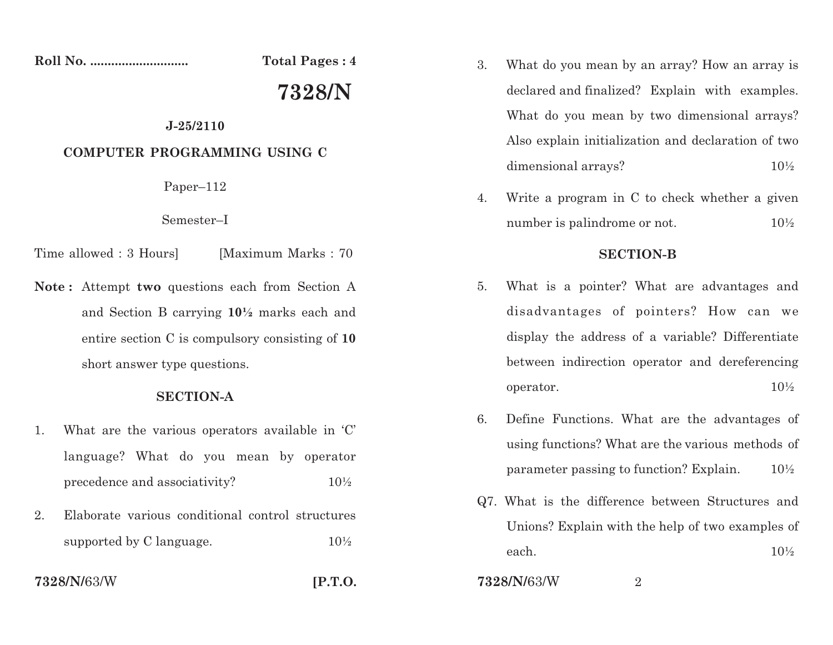**Roll No. ............................ Total Pages : 4**

# **7328/N**

### **J-25/2110**

## **COMPUTER PROGRAMMING USING C**

Paper–112

#### Semester–I

- Time allowed : 3 Hours [Maximum Marks : 70]
- **Note:** Attempt **two** questions each from Section A and Section B carrying  $10\frac{1}{2}$  marks each and entire section C is compulsory consisting of **10** short answer type questions.

## **SECTION-A**

- 1. What are the various operators available in 'C' language? What do you mean by operatorprecedence and associativity? $10\%$
- 2. Elaborate various conditional control structuressupported by C language.  $10\frac{1}{2}$

**7328/N/**63/W

**[P.T.O.**

- 3. What do you mean by an array? How an array isdeclared and finalized? Explain with examples. What do you mean by two dimensional arrays?Also explain initialization and declaration of twodimensional arrays? $10\frac{1}{2}$
- 4. Write <sup>a</sup> program in C to check whether <sup>a</sup> givennumber is palindrome or not.10½

## **SECTION-B**

- 5. What is <sup>a</sup> pointer? What are advantages anddisadvantages of pointers? How can wedisplay the address of <sup>a</sup> variable? Differentiatebetween indirection operator and dereferencingoperator.. 10  $10\frac{1}{2}$
- 6. Define Functions. What are the advantages ofusing functions? What are the various methods ofparameter passing to function? Explain.10½
- Q7. What is the difference between Structures andUnions? Explain with the help of two examples ofeach.10½

**7328/N/**63/W $\mathsf{W}$  2